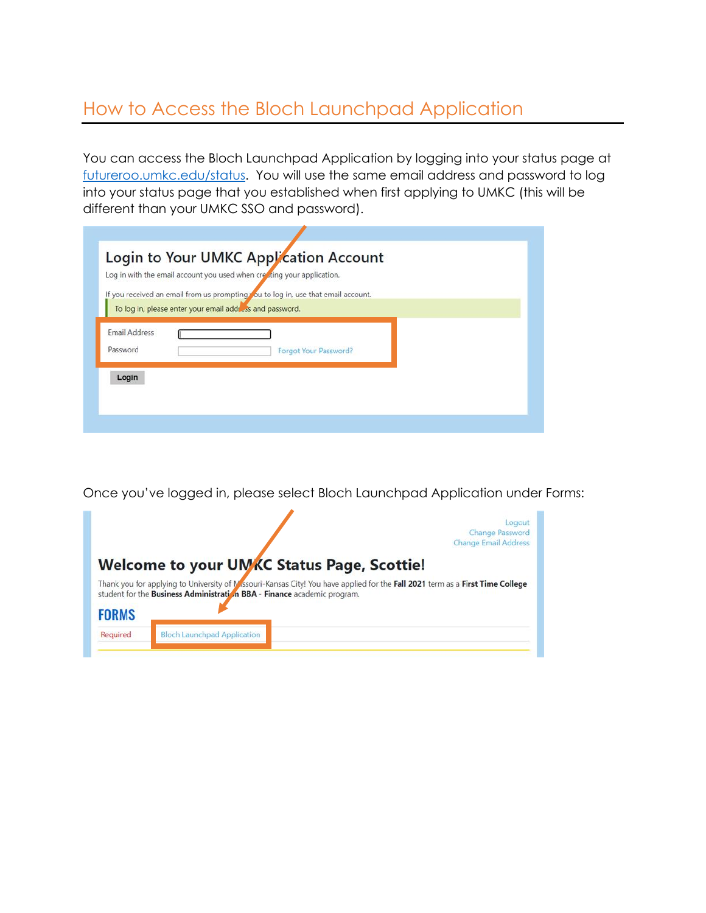## How to Access the Bloch Launchpad Application

You can access the Bloch Launchpad Application by logging into your status page at futureroo.umkc.edu/status. You will use the same email address and password to log into your status page that you established when first applying to UMKC (this will be different than your UMKC SSO and password).

|                           |                                                          | Login to Your UMKC Application Account<br>Log in with the email account you used when creating your application. |  |
|---------------------------|----------------------------------------------------------|------------------------------------------------------------------------------------------------------------------|--|
|                           | To log in, please enter your email address and password. | If you received an email from us prompting you to log in, use that email account.                                |  |
| Email Address<br>Password |                                                          | Forgot Your Password?                                                                                            |  |
| Login                     |                                                          |                                                                                                                  |  |

Once you've logged in, please select Bloch Launchpad Application under Forms:

|              |                                                                                                                                                                                                          | Logout<br>Change Password<br><b>Change Email Address</b> |
|--------------|----------------------------------------------------------------------------------------------------------------------------------------------------------------------------------------------------------|----------------------------------------------------------|
|              | <b>Welcome to your UMAC Status Page, Scottie!</b>                                                                                                                                                        |                                                          |
|              | Thank you for applying to University of Missouri-Kansas City! You have applied for the Fall 2021 term as a First Time College<br>student for the Business Administration BBA - Finance academic program. |                                                          |
|              |                                                                                                                                                                                                          |                                                          |
| <b>FORMS</b> |                                                                                                                                                                                                          |                                                          |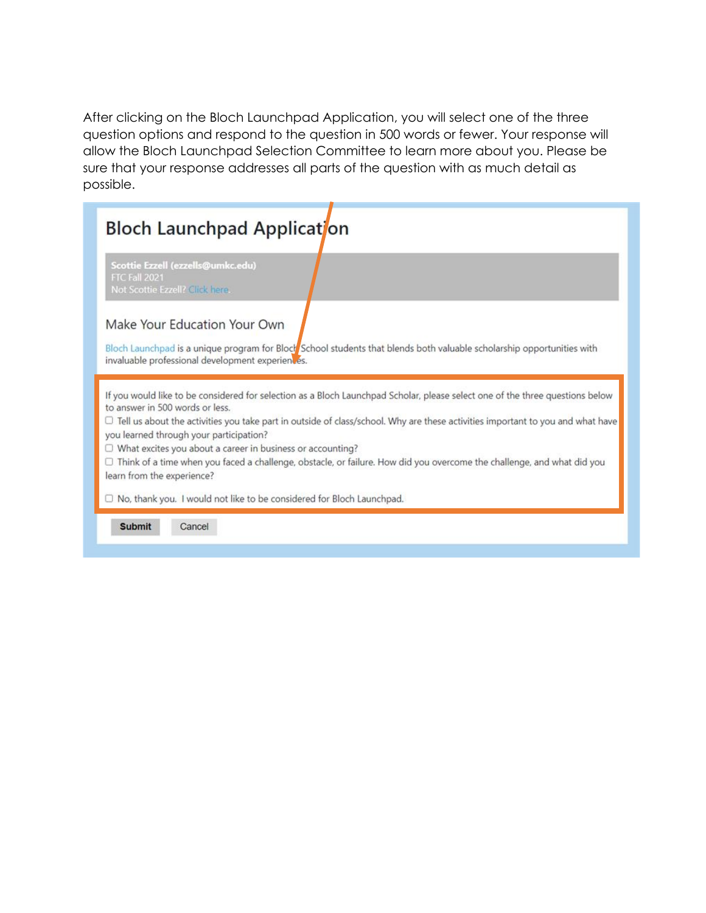After clicking on the Bloch Launchpad Application, you will select one of the three question options and respond to the question in 500 words or fewer. Your response will allow the Bloch Launchpad Selection Committee to learn more about you. Please be sure that your response addresses all parts of the question with as much detail as possible.